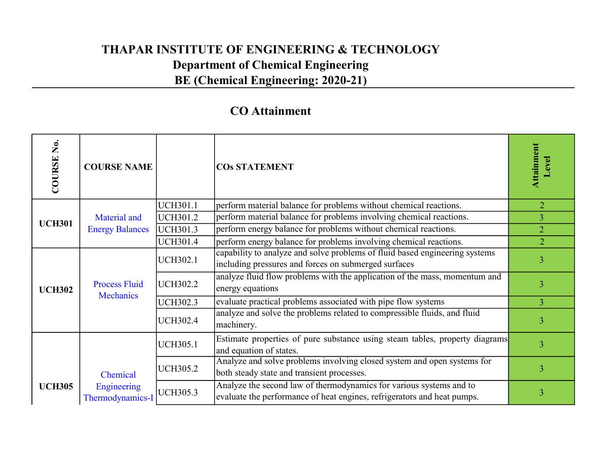| COURSE No.    | <b>COURSE NAME</b>                       |                 | <b>COS STATEMENT</b>                                                                                                                           | Attainment<br>evel |  |
|---------------|------------------------------------------|-----------------|------------------------------------------------------------------------------------------------------------------------------------------------|--------------------|--|
|               |                                          | <b>UCH301.1</b> | perform material balance for problems without chemical reactions.                                                                              | $\overline{2}$     |  |
| <b>UCH301</b> | Material and                             | <b>UCH301.2</b> | perform material balance for problems involving chemical reactions.                                                                            | $\overline{3}$     |  |
|               | <b>Energy Balances</b>                   | UCH301.3        | perform energy balance for problems without chemical reactions.                                                                                | $\overline{2}$     |  |
|               |                                          | <b>UCH301.4</b> | perform energy balance for problems involving chemical reactions.                                                                              | $\overline{2}$     |  |
|               |                                          | <b>UCH302.1</b> | capability to analyze and solve problems of fluid based engineering systems<br>including pressures and forces on submerged surfaces            | 3                  |  |
| <b>UCH302</b> | <b>Process Fluid</b><br><b>Mechanics</b> | <b>UCH302.2</b> | analyze fluid flow problems with the application of the mass, momentum and<br>energy equations                                                 | 3                  |  |
|               |                                          | <b>UCH302.3</b> | evaluate practical problems associated with pipe flow systems                                                                                  | $\overline{3}$     |  |
|               |                                          | <b>UCH302.4</b> | analyze and solve the problems related to compressible fluids, and fluid<br>machinery.                                                         | 3                  |  |
|               |                                          | <b>UCH305.1</b> | Estimate properties of pure substance using steam tables, property diagrams<br>and equation of states.                                         | 3                  |  |
|               | Chemical                                 | <b>UCH305.2</b> | Analyze and solve problems involving closed system and open systems for<br>both steady state and transient processes.                          | 3                  |  |
| <b>UCH305</b> | Engineering<br>Thermodynamics-I          | <b>UCH305.3</b> | Analyze the second law of thermodynamics for various systems and to<br>evaluate the performance of heat engines, refrigerators and heat pumps. | 3                  |  |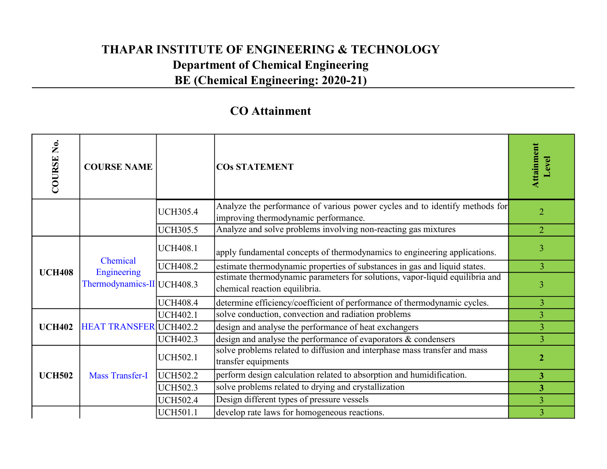| COURSE No.    | <b>COURSE NAME</b>                        |                 | <b>COS STATEMENT</b>                                                                                                | Attainment<br>Level |  |
|---------------|-------------------------------------------|-----------------|---------------------------------------------------------------------------------------------------------------------|---------------------|--|
|               |                                           | <b>UCH305.4</b> | Analyze the performance of various power cycles and to identify methods for<br>improving thermodynamic performance. | $\overline{2}$      |  |
|               |                                           | <b>UCH305.5</b> | Analyze and solve problems involving non-reacting gas mixtures                                                      | $\overline{2}$      |  |
|               | Chemical                                  | <b>UCH408.1</b> | apply fundamental concepts of thermodynamics to engineering applications.                                           | 3                   |  |
| <b>UCH408</b> | Engineering<br>Thermodynamics-II UCH408.3 | <b>UCH408.2</b> | estimate thermodynamic properties of substances in gas and liquid states.                                           | $\overline{3}$      |  |
|               |                                           |                 | estimate thermodynamic parameters for solutions, vapor-liquid equilibria and<br>chemical reaction equilibria.       | 3                   |  |
|               |                                           | <b>UCH408.4</b> | determine efficiency/coefficient of performance of thermodynamic cycles.                                            | 3                   |  |
|               |                                           | <b>UCH402.1</b> | solve conduction, convection and radiation problems                                                                 | $\overline{3}$      |  |
| <b>UCH402</b> | <b>HEAT TRANSFER UCH402.2</b>             |                 | design and analyse the performance of heat exchangers                                                               | $\overline{3}$      |  |
|               |                                           | <b>UCH402.3</b> | design and analyse the performance of evaporators & condensers                                                      | $\overline{3}$      |  |
| <b>UCH502</b> |                                           | <b>UCH502.1</b> | solve problems related to diffusion and interphase mass transfer and mass<br>transfer equipments                    | $\overline{2}$      |  |
|               | <b>Mass Transfer-I</b>                    | <b>UCH502.2</b> | perform design calculation related to absorption and humidification.                                                | 3 <sup>1</sup>      |  |
|               |                                           | <b>UCH502.3</b> | solve problems related to drying and crystallization                                                                | 3 <sup>1</sup>      |  |
|               |                                           | <b>UCH502.4</b> | Design different types of pressure vessels                                                                          | $\overline{3}$      |  |
|               |                                           | <b>UCH501.1</b> | develop rate laws for homogeneous reactions.                                                                        | $\overline{3}$      |  |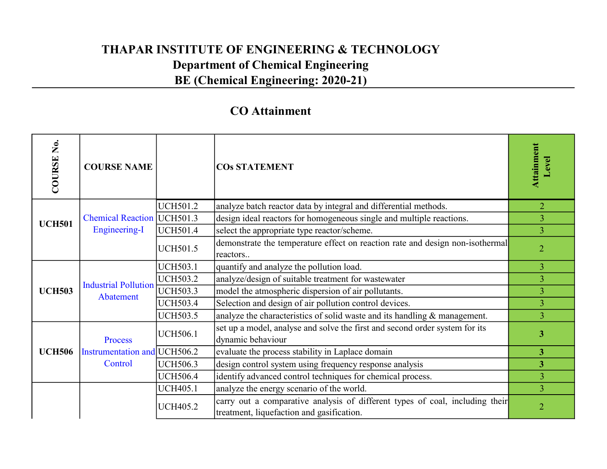| COURSE No.    | <b>COURSE NAME</b>           |                 | <b>COS STATEMENT</b>                                                                                                      | Attainment<br>Level     |
|---------------|------------------------------|-----------------|---------------------------------------------------------------------------------------------------------------------------|-------------------------|
|               |                              | <b>UCH501.2</b> | analyze batch reactor data by integral and differential methods.                                                          | $\overline{2}$          |
| <b>UCH501</b> | Chemical Reaction   UCH501.3 |                 | design ideal reactors for homogeneous single and multiple reactions.                                                      | $\overline{3}$          |
|               | <b>Engineering-I</b>         | <b>UCH501.4</b> | select the appropriate type reactor/scheme.                                                                               | $\overline{3}$          |
|               |                              | <b>UCH501.5</b> | demonstrate the temperature effect on reaction rate and design non-isothermal<br>reactors                                 | $\overline{2}$          |
|               |                              | <b>UCH503.1</b> | quantify and analyze the pollution load.                                                                                  | 3                       |
|               | <b>Industrial Pollution</b>  | <b>UCH503.2</b> | analyze/design of suitable treatment for wastewater                                                                       | $\overline{3}$          |
| <b>UCH503</b> | Abatement                    | <b>UCH503.3</b> | model the atmospheric dispersion of air pollutants.                                                                       | $\overline{3}$          |
|               |                              | <b>UCH503.4</b> | Selection and design of air pollution control devices.                                                                    | 3                       |
|               |                              | <b>UCH503.5</b> | analyze the characteristics of solid waste and its handling $\&$ management.                                              | 3                       |
|               | Process                      | <b>UCH506.1</b> | set up a model, analyse and solve the first and second order system for its<br>dynamic behaviour                          | $\overline{\mathbf{3}}$ |
| <b>UCH506</b> | Instrumentation and UCH506.2 |                 | evaluate the process stability in Laplace domain                                                                          | 3 <sup>1</sup>          |
|               | Control                      | <b>UCH506.3</b> | design control system using frequency response analysis                                                                   | 3 <sup>1</sup>          |
|               |                              | <b>UCH506.4</b> | identify advanced control techniques for chemical process.                                                                | $\overline{3}$          |
|               |                              | <b>UCH405.1</b> | analyze the energy scenario of the world.                                                                                 | $\overline{3}$          |
|               |                              | <b>UCH405.2</b> | carry out a comparative analysis of different types of coal, including their<br>treatment, liquefaction and gasification. | $\overline{2}$          |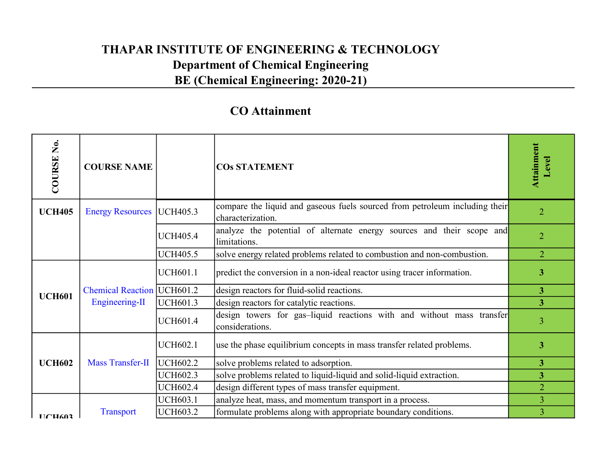| COURSE No.                                                              | <b>COURSE NAME</b>                 |                 | <b>COS STATEMENT</b>                                                                             | Attainment<br>Level |  |
|-------------------------------------------------------------------------|------------------------------------|-----------------|--------------------------------------------------------------------------------------------------|---------------------|--|
| <b>UCH405</b>                                                           | <b>Energy Resources</b>   UCH405.3 |                 | compare the liquid and gaseous fuels sourced from petroleum including their<br>characterization. | $\overline{2}$      |  |
|                                                                         |                                    | <b>UCH405.4</b> | analyze the potential of alternate energy sources and their scope and<br>limitations.            | $\overline{2}$      |  |
|                                                                         |                                    | <b>UCH405.5</b> | solve energy related problems related to combustion and non-combustion.                          | $\overline{2}$      |  |
|                                                                         |                                    | <b>UCH601.1</b> | predict the conversion in a non-ideal reactor using tracer information.                          | 3 <sup>1</sup>      |  |
| <b>UCH601</b>                                                           | <b>Chemical Reaction  UCH601.2</b> |                 | design reactors for fluid-solid reactions.                                                       | 3 <sup>1</sup>      |  |
|                                                                         | Engineering-II                     | <b>UCH601.3</b> | design reactors for catalytic reactions.                                                         | 3 <sup>1</sup>      |  |
|                                                                         |                                    | <b>UCH601.4</b> | design towers for gas-liquid reactions with and without mass transfer<br>considerations.         | $\overline{3}$      |  |
|                                                                         |                                    | <b>UCH602.1</b> | use the phase equilibrium concepts in mass transfer related problems.                            | 3 <sup>1</sup>      |  |
| <b>UCH602</b>                                                           | <b>Mass Transfer-II</b>            | UCH602.2        | solve problems related to adsorption.                                                            | 3 <sup>1</sup>      |  |
|                                                                         |                                    | <b>UCH602.3</b> | solve problems related to liquid-liquid and solid-liquid extraction.                             | 3 <sup>1</sup>      |  |
|                                                                         |                                    | <b>UCH602.4</b> | design different types of mass transfer equipment.                                               | $\overline{2}$      |  |
|                                                                         |                                    | <b>UCH603.1</b> | analyze heat, mass, and momentum transport in a process.                                         | $\overline{3}$      |  |
| $\Gamma$ $\Gamma$ $\Gamma$ $\Gamma$ $\Gamma$ $\Gamma$ $\Gamma$ $\Gamma$ | <b>Transport</b>                   | <b>UCH603.2</b> | formulate problems along with appropriate boundary conditions.                                   | $\overline{3}$      |  |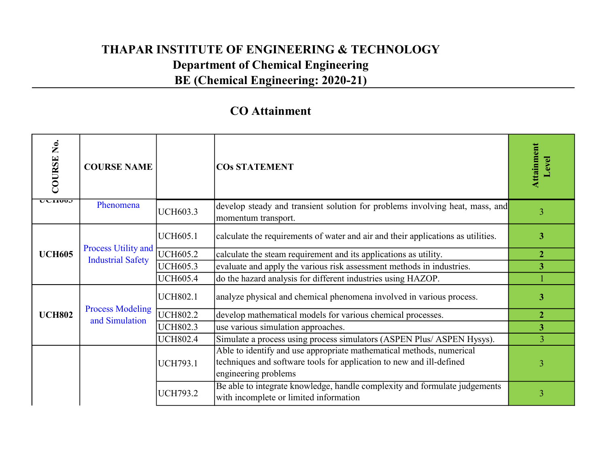| COURSE No.     | <b>COURSE NAME</b>                              |                 | <b>COS STATEMENT</b>                                                                                                                                                 | Attainment<br><b>Level</b> |
|----------------|-------------------------------------------------|-----------------|----------------------------------------------------------------------------------------------------------------------------------------------------------------------|----------------------------|
| <u>UVIIVVJ</u> | Phenomena                                       | <b>UCH603.3</b> | develop steady and transient solution for problems involving heat, mass, and<br>momentum transport.                                                                  | 3                          |
|                |                                                 | <b>UCH605.1</b> | calculate the requirements of water and air and their applications as utilities.                                                                                     | $\overline{\mathbf{3}}$    |
| <b>UCH605</b>  | Process Utility and<br><b>Industrial Safety</b> | <b>UCH605.2</b> | calculate the steam requirement and its applications as utility.                                                                                                     | $\overline{2}$             |
|                |                                                 | <b>UCH605.3</b> | evaluate and apply the various risk assessment methods in industries.                                                                                                | $\overline{\mathbf{3}}$    |
|                |                                                 | <b>UCH605.4</b> | do the hazard analysis for different industries using HAZOP.                                                                                                         |                            |
|                |                                                 | <b>UCH802.1</b> | analyze physical and chemical phenomena involved in various process.                                                                                                 | $\overline{\mathbf{3}}$    |
| <b>UCH802</b>  | <b>Process Modeling</b><br>and Simulation       | <b>UCH802.2</b> | develop mathematical models for various chemical processes.                                                                                                          | $\overline{2}$             |
|                |                                                 | <b>UCH802.3</b> | use various simulation approaches.                                                                                                                                   | $\overline{3}$             |
|                |                                                 | <b>UCH802.4</b> | Simulate a process using process simulators (ASPEN Plus/ ASPEN Hysys).                                                                                               | $\overline{3}$             |
|                |                                                 | <b>UCH793.1</b> | Able to identify and use appropriate mathematical methods, numerical<br>techniques and software tools for application to new and ill-defined<br>engineering problems | 3                          |
|                |                                                 | <b>UCH793.2</b> | Be able to integrate knowledge, handle complexity and formulate judgements<br>with incomplete or limited information                                                 | $\overline{3}$             |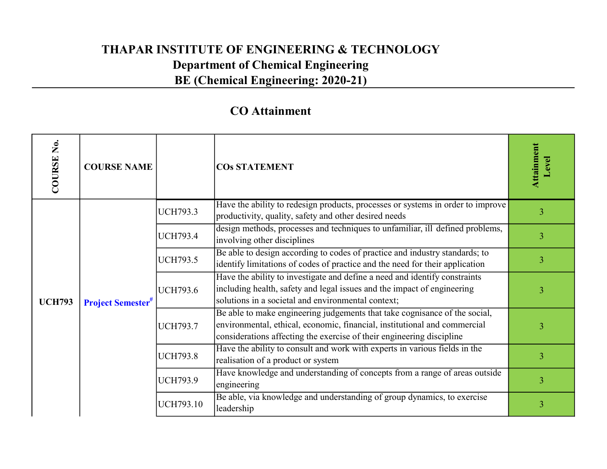| COURSE No.    | <b>COURSE NAME</b>                  |                  | <b>COS STATEMENT</b>                                                                                                                                                                                                             | Attainment<br>Level |  |
|---------------|-------------------------------------|------------------|----------------------------------------------------------------------------------------------------------------------------------------------------------------------------------------------------------------------------------|---------------------|--|
|               |                                     | <b>UCH793.3</b>  | Have the ability to redesign products, processes or systems in order to improve<br>productivity, quality, safety and other desired needs                                                                                         | 3                   |  |
|               |                                     | <b>UCH793.4</b>  | design methods, processes and techniques to unfamiliar, ill defined problems,<br>involving other disciplines                                                                                                                     | $\overline{3}$      |  |
| <b>UCH793</b> | <b>Project Semester<sup>#</sup></b> | <b>UCH793.5</b>  | Be able to design according to codes of practice and industry standards; to<br>identify limitations of codes of practice and the need for their application                                                                      | 3                   |  |
|               |                                     | <b>UCH793.6</b>  | Have the ability to investigate and define a need and identify constraints<br>including health, safety and legal issues and the impact of engineering<br>solutions in a societal and environmental context;                      | $\overline{3}$      |  |
|               |                                     | <b>UCH793.7</b>  | Be able to make engineering judgements that take cognisance of the social,<br>environmental, ethical, economic, financial, institutional and commercial<br>considerations affecting the exercise of their engineering discipline | 3                   |  |
|               |                                     | <b>UCH793.8</b>  | Have the ability to consult and work with experts in various fields in the<br>realisation of a product or system                                                                                                                 | $\overline{3}$      |  |
|               |                                     | <b>UCH793.9</b>  | Have knowledge and understanding of concepts from a range of areas outside<br>engineering                                                                                                                                        | $\overline{3}$      |  |
|               |                                     | <b>UCH793.10</b> | Be able, via knowledge and understanding of group dynamics, to exercise<br>leadership                                                                                                                                            | 3                   |  |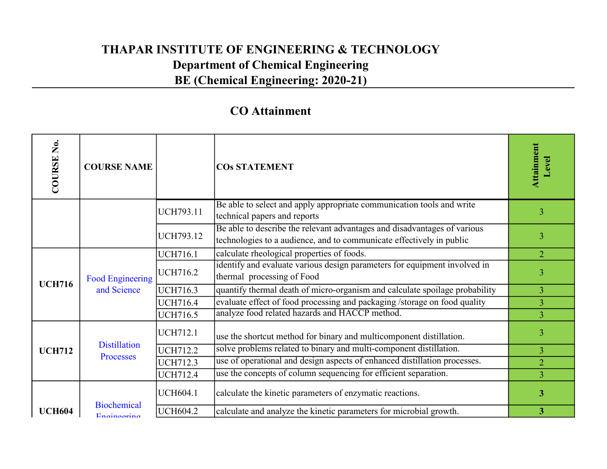| COURSE No.    | <b>COURSE NAME</b>                     |                  | <b>COS STATEMENT</b>                                                                                                                             | Attainment<br>Level |  |
|---------------|----------------------------------------|------------------|--------------------------------------------------------------------------------------------------------------------------------------------------|---------------------|--|
|               |                                        | <b>UCH793.11</b> | Be able to select and apply appropriate communication tools and write<br>technical papers and reports                                            | 3                   |  |
|               |                                        | <b>UCH793.12</b> | Be able to describe the relevant advantages and disadvantages of various<br>technologies to a audience, and to communicate effectively in public | 3                   |  |
|               |                                        | <b>UCH716.1</b>  | calculate rheological properties of foods.                                                                                                       | $\overline{2}$      |  |
|               | <b>Food Engineering</b><br>and Science | <b>UCH716.2</b>  | identify and evaluate various design parameters for equipment involved in<br>thermal processing of Food                                          | 3                   |  |
| <b>UCH716</b> |                                        | <b>UCH716.3</b>  | quantify thermal death of micro-organism and calculate spoilage probability                                                                      | $\overline{3}$      |  |
|               |                                        | <b>UCH716.4</b>  | evaluate effect of food processing and packaging /storage on food quality                                                                        | $\overline{3}$      |  |
|               |                                        | <b>UCH716.5</b>  | analyze food related hazards and HACCP method.                                                                                                   | $\overline{3}$      |  |
|               |                                        | <b>UCH712.1</b>  | use the shortcut method for binary and multicomponent distillation.                                                                              | 3                   |  |
| <b>UCH712</b> | <b>Distillation</b><br>Processes       | <b>UCH712.2</b>  | solve problems related to binary and multi-component distillation.                                                                               | $\overline{3}$      |  |
|               |                                        | <b>UCH712.3</b>  | use of operational and design aspects of enhanced distillation processes.                                                                        | $\overline{2}$      |  |
|               |                                        | <b>UCH712.4</b>  | use the concepts of column sequencing for efficient separation.                                                                                  | $\overline{3}$      |  |
|               |                                        | <b>UCH604.1</b>  | calculate the kinetic parameters of enzymatic reactions.                                                                                         | 3 <sup>1</sup>      |  |
| <b>UCH604</b> | <b>Biochemical</b><br>Engineering      | <b>UCH604.2</b>  | calculate and analyze the kinetic parameters for microbial growth.                                                                               | 3 <sup>1</sup>      |  |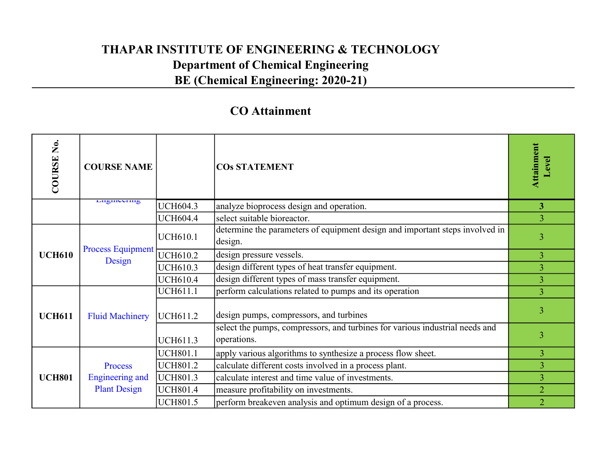| Ż.<br>COURSE  | <b>COURSE NAME</b>                 |                 | <b>COS STATEMENT</b>                                                                        | Attainment<br>Level |  |
|---------------|------------------------------------|-----------------|---------------------------------------------------------------------------------------------|---------------------|--|
|               | Engineering                        | <b>UCH604.3</b> | analyze bioprocess design and operation.                                                    | 3 <sup>1</sup>      |  |
|               |                                    | <b>UCH604.4</b> | select suitable bioreactor.                                                                 | $\overline{3}$      |  |
|               |                                    | <b>UCH610.1</b> | determine the parameters of equipment design and important steps involved in<br>design.     | 3                   |  |
| <b>UCH610</b> | <b>Process Equipment</b><br>Design | <b>UCH610.2</b> | design pressure vessels.                                                                    | $\overline{3}$      |  |
|               |                                    | <b>UCH610.3</b> | design different types of heat transfer equipment.                                          | $\overline{3}$      |  |
|               |                                    | <b>UCH610.4</b> | design different types of mass transfer equipment.                                          | 3                   |  |
|               |                                    | <b>UCH611.1</b> | perform calculations related to pumps and its operation                                     | $\overline{3}$      |  |
| <b>UCH611</b> | <b>Fluid Machinery</b>             | UCH611.2        | design pumps, compressors, and turbines                                                     | 3                   |  |
|               |                                    | <b>UCH611.3</b> | select the pumps, compressors, and turbines for various industrial needs and<br>operations. | 3                   |  |
|               |                                    | <b>UCH801.1</b> | apply various algorithms to synthesize a process flow sheet.                                | $\overline{3}$      |  |
|               | Process                            | <b>UCH801.2</b> | calculate different costs involved in a process plant.                                      | $\overline{3}$      |  |
| <b>UCH801</b> | <b>Engineering and</b>             | <b>UCH801.3</b> | calculate interest and time value of investments.                                           | $\overline{3}$      |  |
|               | <b>Plant Design</b>                | <b>UCH801.4</b> | measure profitability on investments.                                                       | $\overline{2}$      |  |
|               |                                    | <b>UCH801.5</b> | perform breakeven analysis and optimum design of a process.                                 | $\overline{2}$      |  |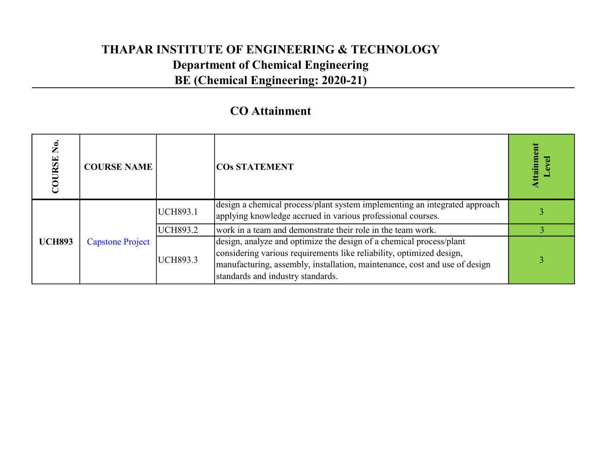| $\tilde{\mathbf{z}}$<br>URSE<br>g | <b>COURSE NAME</b>      |                 | <b>COS STATEMENT</b>                                                                                                                                                                                                                                           | $t$ aim |  |
|-----------------------------------|-------------------------|-----------------|----------------------------------------------------------------------------------------------------------------------------------------------------------------------------------------------------------------------------------------------------------------|---------|--|
|                                   | <b>Capstone Project</b> | <b>UCH893.1</b> | design a chemical process/plant system implementing an integrated approach<br>applying knowledge accrued in various professional courses.                                                                                                                      |         |  |
|                                   |                         | <b>UCH893.2</b> | work in a team and demonstrate their role in the team work.                                                                                                                                                                                                    |         |  |
| <b>UCH893</b>                     |                         | <b>UCH893.3</b> | design, analyze and optimize the design of a chemical process/plant<br>considering various requirements like reliability, optimized design,<br>manufacturing, assembly, installation, maintenance, cost and use of design<br>standards and industry standards. |         |  |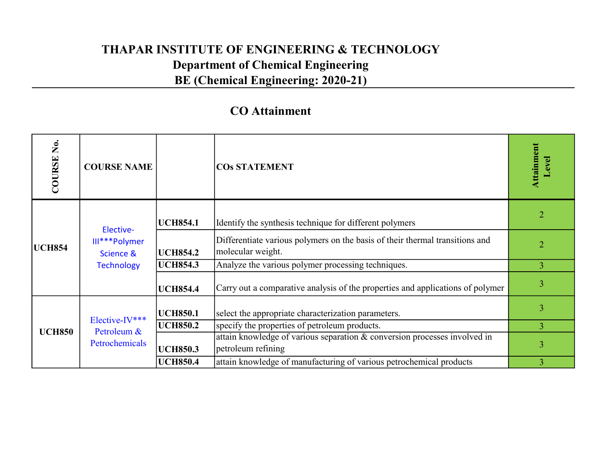| Ż.<br>COURSE  | <b>COURSE NAME</b>                              |                 | <b>COS STATEMENT</b>                                                                              | Attainment<br>evel.                                 |   |  |
|---------------|-------------------------------------------------|-----------------|---------------------------------------------------------------------------------------------------|-----------------------------------------------------|---|--|
| <b>UCH854</b> | Elective-                                       | <b>UCH854.1</b> | Identify the synthesis technique for different polymers                                           | $\overline{2}$                                      |   |  |
|               | III***Polymer<br>Science &<br><b>Technology</b> | <b>UCH854.2</b> | Differentiate various polymers on the basis of their thermal transitions and<br>molecular weight. | $\overline{2}$                                      |   |  |
|               |                                                 | <b>UCH854.3</b> | Analyze the various polymer processing techniques.                                                | 3 <sup>1</sup>                                      |   |  |
|               |                                                 | <b>UCH854.4</b> | Carry out a comparative analysis of the properties and applications of polymer                    | 3                                                   |   |  |
|               |                                                 |                 | <b>UCH850.1</b>                                                                                   | select the appropriate characterization parameters. | 3 |  |
| <b>UCH850</b> | Elective-IV***<br>Petroleum &                   | <b>UCH850.2</b> | specify the properties of petroleum products.                                                     | $\overline{3}$                                      |   |  |
|               | Petrochemicals                                  | <b>UCH850.3</b> | attain knowledge of various separation & conversion processes involved in<br>petroleum refining   | 3                                                   |   |  |
|               |                                                 | <b>UCH850.4</b> | attain knowledge of manufacturing of various petrochemical products                               |                                                     |   |  |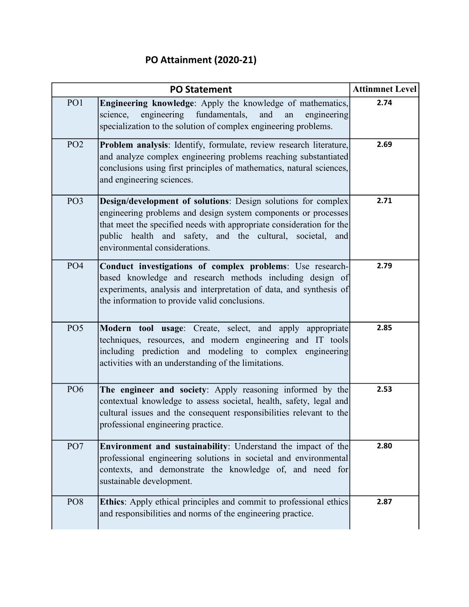### PO Attainment (2020-21)

|                 | <b>Attinmnet Level</b>                                                                                                                                                                                                                                                                                          |      |
|-----------------|-----------------------------------------------------------------------------------------------------------------------------------------------------------------------------------------------------------------------------------------------------------------------------------------------------------------|------|
| PO1             | Engineering knowledge: Apply the knowledge of mathematics,<br>engineering fundamentals,<br>and<br>science,<br>an<br>engineering<br>specialization to the solution of complex engineering problems.                                                                                                              | 2.74 |
| PO <sub>2</sub> | Problem analysis: Identify, formulate, review research literature,<br>and analyze complex engineering problems reaching substantiated<br>conclusions using first principles of mathematics, natural sciences,<br>and engineering sciences.                                                                      | 2.69 |
| PO <sub>3</sub> | <b>Design/development of solutions:</b> Design solutions for complex<br>engineering problems and design system components or processes<br>that meet the specified needs with appropriate consideration for the<br>public health and safety, and the cultural, societal,<br>and<br>environmental considerations. | 2.71 |
| PO <sub>4</sub> | Conduct investigations of complex problems: Use research-<br>based knowledge and research methods including design of<br>experiments, analysis and interpretation of data, and synthesis of<br>the information to provide valid conclusions.                                                                    | 2.79 |
| PO <sub>5</sub> | Modern tool usage: Create, select, and apply appropriate<br>techniques, resources, and modern engineering and IT tools<br>including prediction and modeling to complex engineering<br>activities with an understanding of the limitations.                                                                      | 2.85 |
| PO <sub>6</sub> | The engineer and society: Apply reasoning informed by the<br>contextual knowledge to assess societal, health, safety, legal and<br>cultural issues and the consequent responsibilities relevant to the<br>professional engineering practice.                                                                    | 2.53 |
| PO <sub>7</sub> | <b>Environment and sustainability:</b> Understand the impact of the<br>professional engineering solutions in societal and environmental<br>contexts, and demonstrate the knowledge of, and need for<br>sustainable development.                                                                                 | 2.80 |
| PO <sub>8</sub> | Ethics: Apply ethical principles and commit to professional ethics<br>and responsibilities and norms of the engineering practice.                                                                                                                                                                               | 2.87 |